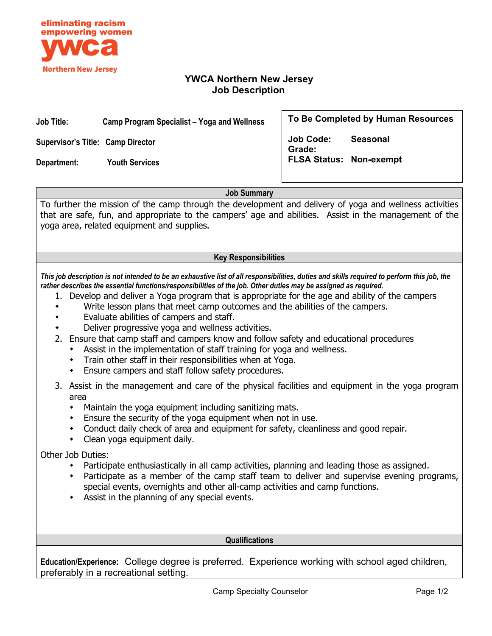

# **YWCA Northern New Jersey Job Description**

### **Job Title: Camp Program Specialist – Yoga and Wellness**

**Supervisor's Title: Camp Director**

**Department: Youth Services**

**To Be Completed by Human Resources**

**Job Code: Seasonal Grade: FLSA Status: Non-exempt**

**Job Summary**

To further the mission of the camp through the development and delivery of yoga and wellness activities that are safe, fun, and appropriate to the campers' age and abilities. Assist in the management of the yoga area, related equipment and supplies.

## **Key Responsibilities**

*This job description is not intended to be an exhaustive list of all responsibilities, duties and skills required to perform this job, the rather describes the essential functions/responsibilities of the job. Other duties may be assigned as required.*

- 1. Develop and deliver a Yoga program that is appropriate for the age and ability of the campers
- Write lesson plans that meet camp outcomes and the abilities of the campers.
- Evaluate abilities of campers and staff.
- Deliver progressive yoga and wellness activities.
- 2. Ensure that camp staff and campers know and follow safety and educational procedures
	- Assist in the implementation of staff training for yoga and wellness.
	- Train other staff in their responsibilities when at Yoga.
	- Ensure campers and staff follow safety procedures.
- 3. Assist in the management and care of the physical facilities and equipment in the yoga program area
	- Maintain the yoga equipment including sanitizing mats.
	- Ensure the security of the yoga equipment when not in use.
	- Conduct daily check of area and equipment for safety, cleanliness and good repair.
	- Clean yoga equipment daily.

#### Other Job Duties:

- Participate enthusiastically in all camp activities, planning and leading those as assigned.
- Participate as a member of the camp staff team to deliver and supervise evening programs, special events, overnights and other all-camp activities and camp functions.
- Assist in the planning of any special events.

#### **Qualifications**

**Education/Experience:** College degree is preferred. Experience working with school aged children, preferably in a recreational setting.